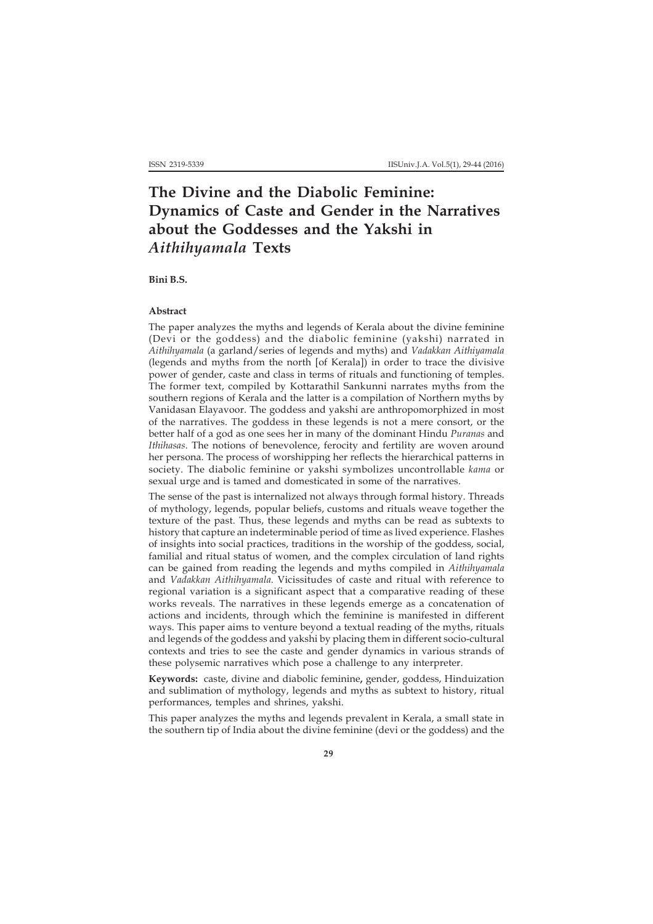# **The Divine and the Diabolic Feminine: Dynamics of Caste and Gender in the Narratives about the Goddesses and the Yakshi in** *Aithihyamala* **Texts**

**Bini B.S.**

# **Abstract**

The paper analyzes the myths and legends of Kerala about the divine feminine (Devi or the goddess) and the diabolic feminine (yakshi) narrated in *Aithihyamala* (a garland/series of legends and myths) and *Vadakkan Aithiyamala* (legends and myths from the north [of Kerala]) in order to trace the divisive power of gender, caste and class in terms of rituals and functioning of temples. The former text, compiled by Kottarathil Sankunni narrates myths from the southern regions of Kerala and the latter is a compilation of Northern myths by Vanidasan Elayavoor. The goddess and yakshi are anthropomorphized in most of the narratives. The goddess in these legends is not a mere consort, or the better half of a god as one sees her in many of the dominant Hindu *Puranas* and *Ithihasas*. The notions of benevolence, ferocity and fertility are woven around her persona. The process of worshipping her reflects the hierarchical patterns in society. The diabolic feminine or yakshi symbolizes uncontrollable *kama* or sexual urge and is tamed and domesticated in some of the narratives.

The sense of the past is internalized not always through formal history. Threads of mythology, legends, popular beliefs, customs and rituals weave together the texture of the past. Thus, these legends and myths can be read as subtexts to history that capture an indeterminable period of time as lived experience. Flashes of insights into social practices, traditions in the worship of the goddess, social, familial and ritual status of women, and the complex circulation of land rights can be gained from reading the legends and myths compiled in *Aithihyamala* and *Vadakkan Aithihyamala.* Vicissitudes of caste and ritual with reference to regional variation is a significant aspect that a comparative reading of these works reveals. The narratives in these legends emerge as a concatenation of actions and incidents, through which the feminine is manifested in different ways. This paper aims to venture beyond a textual reading of the myths, rituals and legends of the goddess and yakshi by placing them in different socio-cultural contexts and tries to see the caste and gender dynamics in various strands of these polysemic narratives which pose a challenge to any interpreter.

**Keywords:** caste, divine and diabolic feminine**,** gender, goddess, Hinduization and sublimation of mythology, legends and myths as subtext to history, ritual performances, temples and shrines, yakshi.

This paper analyzes the myths and legends prevalent in Kerala, a small state in the southern tip of India about the divine feminine (devi or the goddess) and the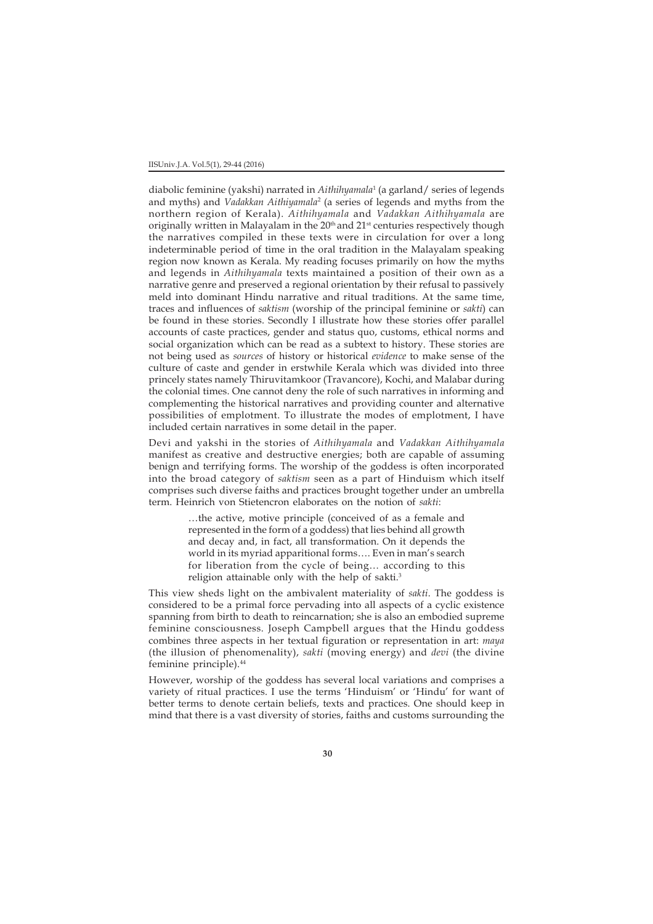diabolic feminine (yakshi) narrated in *Aithihyamala*<sup>1</sup> (a garland/ series of legends and myths) and *Vadakkan Aithiyamala*<sup>2</sup> (a series of legends and myths from the northern region of Kerala). *Aithihyamala* and *Vadakkan Aithihyamala* are originally written in Malayalam in the 20<sup>th</sup> and 21<sup>st</sup> centuries respectively though the narratives compiled in these texts were in circulation for over a long indeterminable period of time in the oral tradition in the Malayalam speaking region now known as Kerala. My reading focuses primarily on how the myths and legends in *Aithihyamala* texts maintained a position of their own as a narrative genre and preserved a regional orientation by their refusal to passively meld into dominant Hindu narrative and ritual traditions. At the same time, traces and influences of *saktism* (worship of the principal feminine or *sakti*) can be found in these stories. Secondly I illustrate how these stories offer parallel accounts of caste practices, gender and status quo, customs, ethical norms and social organization which can be read as a subtext to history. These stories are not being used as *sources* of history or historical *evidence* to make sense of the culture of caste and gender in erstwhile Kerala which was divided into three princely states namely Thiruvitamkoor (Travancore), Kochi, and Malabar during the colonial times. One cannot deny the role of such narratives in informing and complementing the historical narratives and providing counter and alternative possibilities of emplotment. To illustrate the modes of emplotment, I have included certain narratives in some detail in the paper.

Devi and yakshi in the stories of *Aithihyamala* and *Vadakkan Aithihyamala* manifest as creative and destructive energies; both are capable of assuming benign and terrifying forms. The worship of the goddess is often incorporated into the broad category of *saktism* seen as a part of Hinduism which itself comprises such diverse faiths and practices brought together under an umbrella term. Heinrich von Stietencron elaborates on the notion of *sakti*:

> …the active, motive principle (conceived of as a female and represented in the form of a goddess) that lies behind all growth and decay and, in fact, all transformation. On it depends the world in its myriad apparitional forms…. Even in man's search for liberation from the cycle of being… according to this religion attainable only with the help of sakti.<sup>3</sup>

This view sheds light on the ambivalent materiality of *sakti*. The goddess is considered to be a primal force pervading into all aspects of a cyclic existence spanning from birth to death to reincarnation; she is also an embodied supreme feminine consciousness. Joseph Campbell argues that the Hindu goddess combines three aspects in her textual figuration or representation in art: *maya* (the illusion of phenomenality), *sakti* (moving energy) and *devi* (the divine feminine principle).44

However, worship of the goddess has several local variations and comprises a variety of ritual practices. I use the terms 'Hinduism' or 'Hindu' for want of better terms to denote certain beliefs, texts and practices. One should keep in mind that there is a vast diversity of stories, faiths and customs surrounding the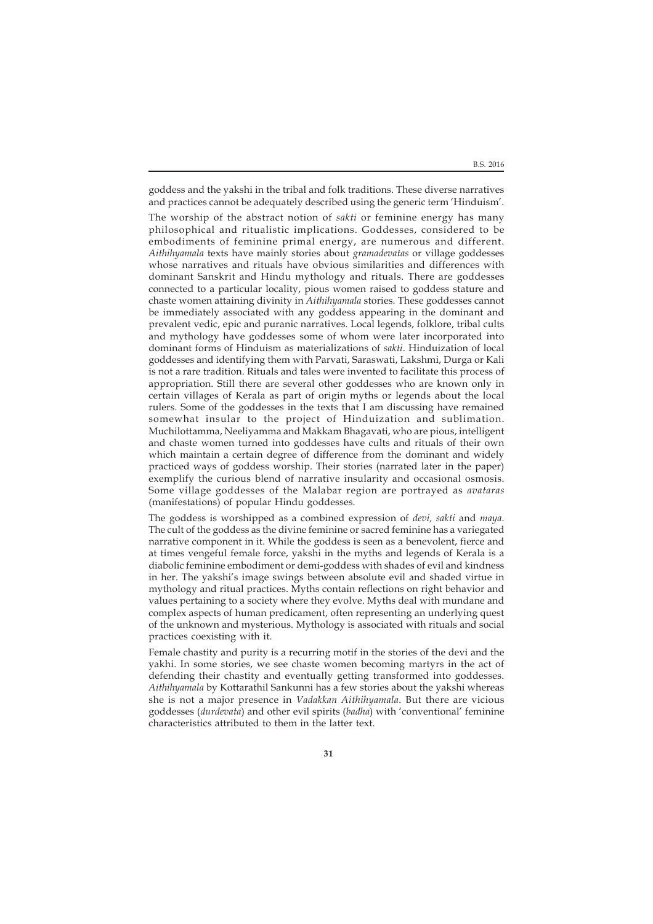goddess and the yakshi in the tribal and folk traditions. These diverse narratives and practices cannot be adequately described using the generic term 'Hinduism'.

The worship of the abstract notion of *sakti* or feminine energy has many philosophical and ritualistic implications. Goddesses, considered to be embodiments of feminine primal energy, are numerous and different. *Aithihyamala* texts have mainly stories about *gramadevatas* or village goddesses whose narratives and rituals have obvious similarities and differences with dominant Sanskrit and Hindu mythology and rituals. There are goddesses connected to a particular locality, pious women raised to goddess stature and chaste women attaining divinity in *Aithihyamala* stories. These goddesses cannot be immediately associated with any goddess appearing in the dominant and prevalent vedic, epic and puranic narratives. Local legends, folklore, tribal cults and mythology have goddesses some of whom were later incorporated into dominant forms of Hinduism as materializations of *sakti*. Hinduization of local goddesses and identifying them with Parvati, Saraswati, Lakshmi, Durga or Kali is not a rare tradition. Rituals and tales were invented to facilitate this process of appropriation. Still there are several other goddesses who are known only in certain villages of Kerala as part of origin myths or legends about the local rulers. Some of the goddesses in the texts that I am discussing have remained somewhat insular to the project of Hinduization and sublimation. Muchilottamma, Neeliyamma and Makkam Bhagavati, who are pious, intelligent and chaste women turned into goddesses have cults and rituals of their own which maintain a certain degree of difference from the dominant and widely practiced ways of goddess worship. Their stories (narrated later in the paper) exemplify the curious blend of narrative insularity and occasional osmosis. Some village goddesses of the Malabar region are portrayed as *avataras* (manifestations) of popular Hindu goddesses.

The goddess is worshipped as a combined expression of *devi, sakti* and *maya*. The cult of the goddess as the divine feminine or sacred feminine has a variegated narrative component in it. While the goddess is seen as a benevolent, fierce and at times vengeful female force, yakshi in the myths and legends of Kerala is a diabolic feminine embodiment or demi-goddess with shades of evil and kindness in her. The yakshi's image swings between absolute evil and shaded virtue in mythology and ritual practices. Myths contain reflections on right behavior and values pertaining to a society where they evolve. Myths deal with mundane and complex aspects of human predicament, often representing an underlying quest of the unknown and mysterious. Mythology is associated with rituals and social practices coexisting with it.

Female chastity and purity is a recurring motif in the stories of the devi and the yakhi. In some stories, we see chaste women becoming martyrs in the act of defending their chastity and eventually getting transformed into goddesses. *Aithihyamala* by Kottarathil Sankunni has a few stories about the yakshi whereas she is not a major presence in *Vadakkan Aithihyamala*. But there are vicious goddesses (*durdevata*) and other evil spirits (*badha*) with 'conventional' feminine characteristics attributed to them in the latter text.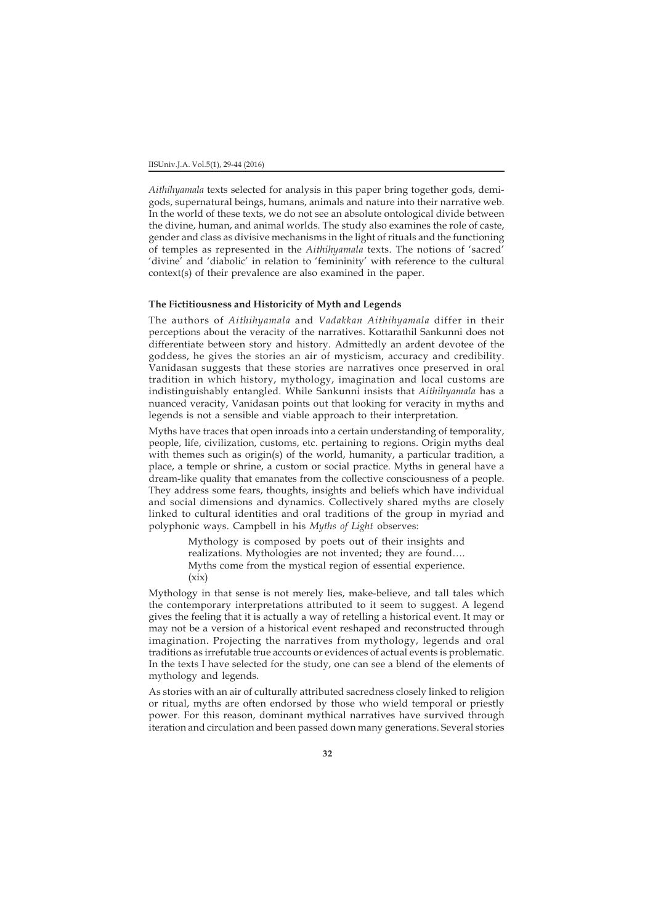*Aithihyamala* texts selected for analysis in this paper bring together gods, demigods, supernatural beings, humans, animals and nature into their narrative web. In the world of these texts, we do not see an absolute ontological divide between the divine, human, and animal worlds. The study also examines the role of caste, gender and class as divisive mechanisms in the light of rituals and the functioning of temples as represented in the *Aithihyamala* texts. The notions of 'sacred' 'divine' and 'diabolic' in relation to 'femininity' with reference to the cultural context(s) of their prevalence are also examined in the paper.

# **The Fictitiousness and Historicity of Myth and Legends**

The authors of *Aithihyamala* and *Vadakkan Aithihyamala* differ in their perceptions about the veracity of the narratives. Kottarathil Sankunni does not differentiate between story and history. Admittedly an ardent devotee of the goddess, he gives the stories an air of mysticism, accuracy and credibility. Vanidasan suggests that these stories are narratives once preserved in oral tradition in which history, mythology, imagination and local customs are indistinguishably entangled. While Sankunni insists that *Aithihyamala* has a nuanced veracity, Vanidasan points out that looking for veracity in myths and legends is not a sensible and viable approach to their interpretation.

Myths have traces that open inroads into a certain understanding of temporality, people, life, civilization, customs, etc. pertaining to regions. Origin myths deal with themes such as origin(s) of the world, humanity, a particular tradition, a place, a temple or shrine, a custom or social practice. Myths in general have a dream-like quality that emanates from the collective consciousness of a people. They address some fears, thoughts, insights and beliefs which have individual and social dimensions and dynamics. Collectively shared myths are closely linked to cultural identities and oral traditions of the group in myriad and polyphonic ways. Campbell in his *Myths of Light* observes:

> Mythology is composed by poets out of their insights and realizations. Mythologies are not invented; they are found…. Myths come from the mystical region of essential experience.  $(xix)$

Mythology in that sense is not merely lies, make-believe, and tall tales which the contemporary interpretations attributed to it seem to suggest. A legend gives the feeling that it is actually a way of retelling a historical event. It may or may not be a version of a historical event reshaped and reconstructed through imagination. Projecting the narratives from mythology, legends and oral traditions as irrefutable true accounts or evidences of actual events is problematic. In the texts I have selected for the study, one can see a blend of the elements of mythology and legends.

As stories with an air of culturally attributed sacredness closely linked to religion or ritual, myths are often endorsed by those who wield temporal or priestly power. For this reason, dominant mythical narratives have survived through iteration and circulation and been passed down many generations. Several stories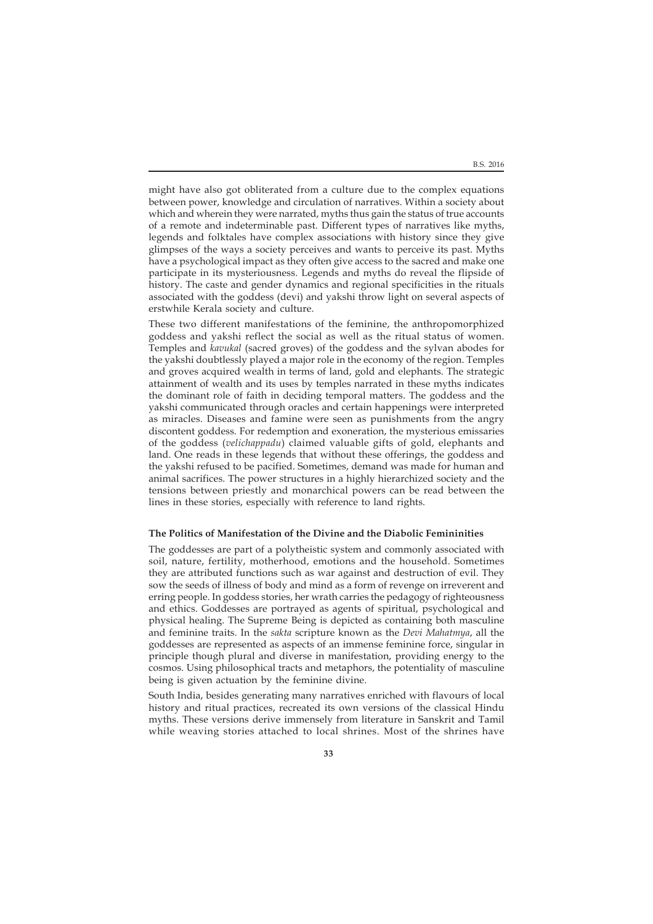B.S. 2016

might have also got obliterated from a culture due to the complex equations between power, knowledge and circulation of narratives. Within a society about which and wherein they were narrated, myths thus gain the status of true accounts of a remote and indeterminable past. Different types of narratives like myths, legends and folktales have complex associations with history since they give glimpses of the ways a society perceives and wants to perceive its past. Myths have a psychological impact as they often give access to the sacred and make one participate in its mysteriousness. Legends and myths do reveal the flipside of history. The caste and gender dynamics and regional specificities in the rituals associated with the goddess (devi) and yakshi throw light on several aspects of erstwhile Kerala society and culture.

These two different manifestations of the feminine, the anthropomorphized goddess and yakshi reflect the social as well as the ritual status of women. Temples and *kavukal* (sacred groves) of the goddess and the sylvan abodes for the yakshi doubtlessly played a major role in the economy of the region. Temples and groves acquired wealth in terms of land, gold and elephants. The strategic attainment of wealth and its uses by temples narrated in these myths indicates the dominant role of faith in deciding temporal matters. The goddess and the yakshi communicated through oracles and certain happenings were interpreted as miracles. Diseases and famine were seen as punishments from the angry discontent goddess. For redemption and exoneration, the mysterious emissaries of the goddess (*velichappadu*) claimed valuable gifts of gold, elephants and land. One reads in these legends that without these offerings, the goddess and the yakshi refused to be pacified. Sometimes, demand was made for human and animal sacrifices. The power structures in a highly hierarchized society and the tensions between priestly and monarchical powers can be read between the lines in these stories, especially with reference to land rights.

### **The Politics of Manifestation of the Divine and the Diabolic Femininities**

The goddesses are part of a polytheistic system and commonly associated with soil, nature, fertility, motherhood, emotions and the household. Sometimes they are attributed functions such as war against and destruction of evil. They sow the seeds of illness of body and mind as a form of revenge on irreverent and erring people. In goddess stories, her wrath carries the pedagogy of righteousness and ethics. Goddesses are portrayed as agents of spiritual, psychological and physical healing. The Supreme Being is depicted as containing both masculine and feminine traits. In the *sakta* scripture known as the *Devi Mahatmya*, all the goddesses are represented as aspects of an immense feminine force, singular in principle though plural and diverse in manifestation, providing energy to the cosmos. Using philosophical tracts and metaphors, the potentiality of masculine being is given actuation by the feminine divine.

South India, besides generating many narratives enriched with flavours of local history and ritual practices, recreated its own versions of the classical Hindu myths. These versions derive immensely from literature in Sanskrit and Tamil while weaving stories attached to local shrines. Most of the shrines have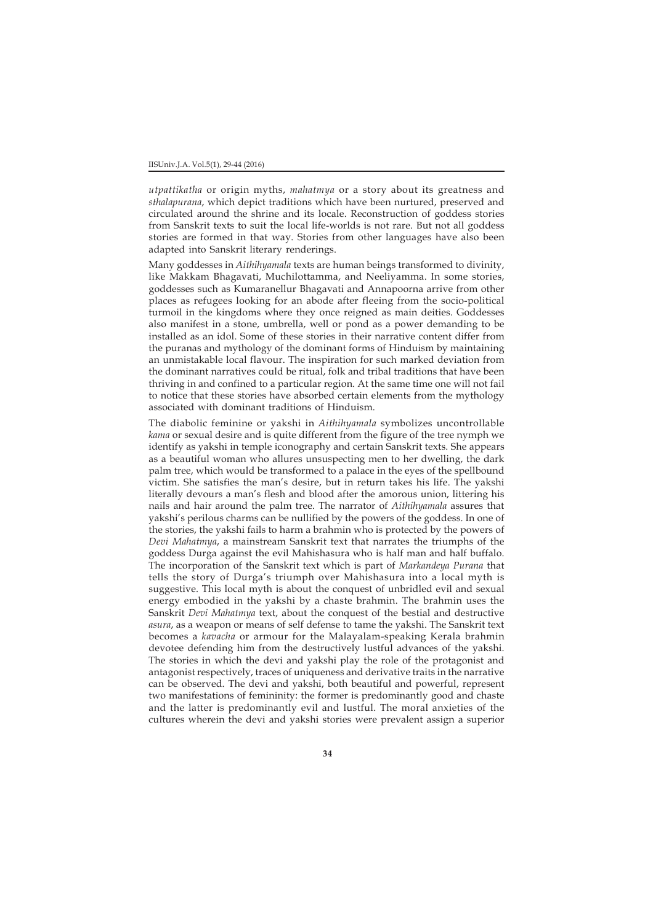*utpattikatha* or origin myths, *mahatmya* or a story about its greatness and *sthalapurana*, which depict traditions which have been nurtured, preserved and circulated around the shrine and its locale. Reconstruction of goddess stories from Sanskrit texts to suit the local life-worlds is not rare. But not all goddess stories are formed in that way. Stories from other languages have also been adapted into Sanskrit literary renderings.

Many goddesses in *Aithihyamala* texts are human beings transformed to divinity, like Makkam Bhagavati, Muchilottamma, and Neeliyamma. In some stories, goddesses such as Kumaranellur Bhagavati and Annapoorna arrive from other places as refugees looking for an abode after fleeing from the socio-political turmoil in the kingdoms where they once reigned as main deities. Goddesses also manifest in a stone, umbrella, well or pond as a power demanding to be installed as an idol. Some of these stories in their narrative content differ from the puranas and mythology of the dominant forms of Hinduism by maintaining an unmistakable local flavour. The inspiration for such marked deviation from the dominant narratives could be ritual, folk and tribal traditions that have been thriving in and confined to a particular region. At the same time one will not fail to notice that these stories have absorbed certain elements from the mythology associated with dominant traditions of Hinduism.

The diabolic feminine or yakshi in *Aithihyamala* symbolizes uncontrollable *kama* or sexual desire and is quite different from the figure of the tree nymph we identify as yakshi in temple iconography and certain Sanskrit texts. She appears as a beautiful woman who allures unsuspecting men to her dwelling, the dark palm tree, which would be transformed to a palace in the eyes of the spellbound victim. She satisfies the man's desire, but in return takes his life. The yakshi literally devours a man's flesh and blood after the amorous union, littering his nails and hair around the palm tree. The narrator of *Aithihyamala* assures that yakshi's perilous charms can be nullified by the powers of the goddess. In one of the stories, the yakshi fails to harm a brahmin who is protected by the powers of *Devi Mahatmya*, a mainstream Sanskrit text that narrates the triumphs of the goddess Durga against the evil Mahishasura who is half man and half buffalo. The incorporation of the Sanskrit text which is part of *Markandeya Purana* that tells the story of Durga's triumph over Mahishasura into a local myth is suggestive. This local myth is about the conquest of unbridled evil and sexual energy embodied in the yakshi by a chaste brahmin. The brahmin uses the Sanskrit *Devi Mahatmya* text, about the conquest of the bestial and destructive *asura*, as a weapon or means of self defense to tame the yakshi. The Sanskrit text becomes a *kavacha* or armour for the Malayalam-speaking Kerala brahmin devotee defending him from the destructively lustful advances of the yakshi. The stories in which the devi and yakshi play the role of the protagonist and antagonist respectively, traces of uniqueness and derivative traits in the narrative can be observed. The devi and yakshi, both beautiful and powerful, represent two manifestations of femininity: the former is predominantly good and chaste and the latter is predominantly evil and lustful. The moral anxieties of the cultures wherein the devi and yakshi stories were prevalent assign a superior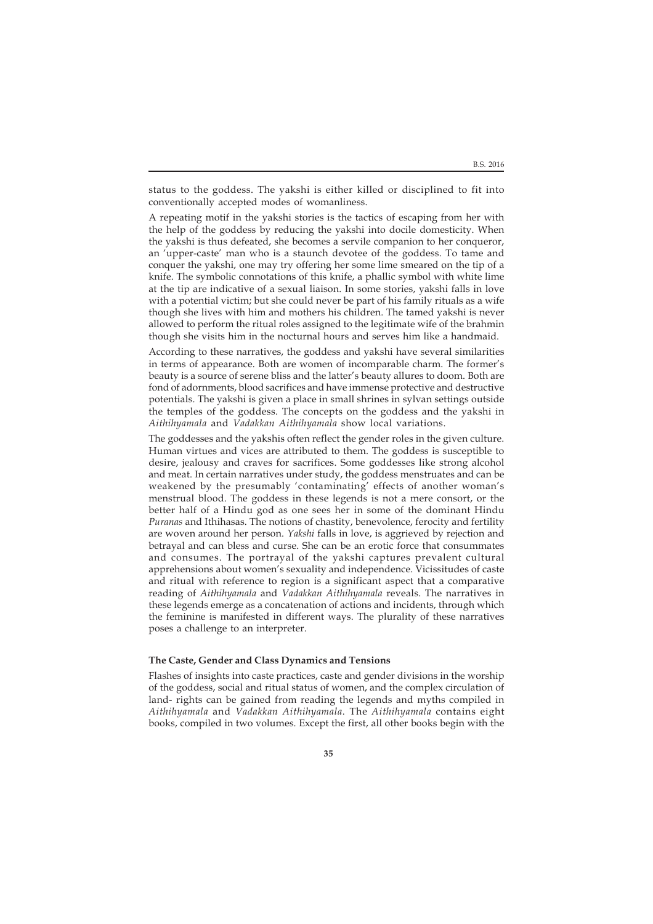B.S. 2016

status to the goddess. The yakshi is either killed or disciplined to fit into conventionally accepted modes of womanliness.

A repeating motif in the yakshi stories is the tactics of escaping from her with the help of the goddess by reducing the yakshi into docile domesticity. When the yakshi is thus defeated, she becomes a servile companion to her conqueror, an 'upper-caste' man who is a staunch devotee of the goddess. To tame and conquer the yakshi, one may try offering her some lime smeared on the tip of a knife. The symbolic connotations of this knife, a phallic symbol with white lime at the tip are indicative of a sexual liaison. In some stories, yakshi falls in love with a potential victim; but she could never be part of his family rituals as a wife though she lives with him and mothers his children. The tamed yakshi is never allowed to perform the ritual roles assigned to the legitimate wife of the brahmin though she visits him in the nocturnal hours and serves him like a handmaid.

According to these narratives, the goddess and yakshi have several similarities in terms of appearance. Both are women of incomparable charm. The former's beauty is a source of serene bliss and the latter's beauty allures to doom. Both are fond of adornments, blood sacrifices and have immense protective and destructive potentials. The yakshi is given a place in small shrines in sylvan settings outside the temples of the goddess. The concepts on the goddess and the yakshi in *Aithihyamala* and *Vadakkan Aithihyamala* show local variations.

The goddesses and the yakshis often reflect the gender roles in the given culture. Human virtues and vices are attributed to them. The goddess is susceptible to desire, jealousy and craves for sacrifices. Some goddesses like strong alcohol and meat. In certain narratives under study, the goddess menstruates and can be weakened by the presumably 'contaminating' effects of another woman's menstrual blood. The goddess in these legends is not a mere consort, or the better half of a Hindu god as one sees her in some of the dominant Hindu *Puranas* and Ithihasas. The notions of chastity, benevolence, ferocity and fertility are woven around her person. *Yakshi* falls in love, is aggrieved by rejection and betrayal and can bless and curse. She can be an erotic force that consummates and consumes. The portrayal of the yakshi captures prevalent cultural apprehensions about women's sexuality and independence. Vicissitudes of caste and ritual with reference to region is a significant aspect that a comparative reading of *Aithihyamala* and *Vadakkan Aithihyamala* reveals. The narratives in these legends emerge as a concatenation of actions and incidents, through which the feminine is manifested in different ways. The plurality of these narratives poses a challenge to an interpreter.

# **The Caste, Gender and Class Dynamics and Tensions**

Flashes of insights into caste practices, caste and gender divisions in the worship of the goddess, social and ritual status of women, and the complex circulation of land- rights can be gained from reading the legends and myths compiled in *Aithihyamala* and *Vadakkan Aithihyamala*. The *Aithihyamala* contains eight books, compiled in two volumes. Except the first, all other books begin with the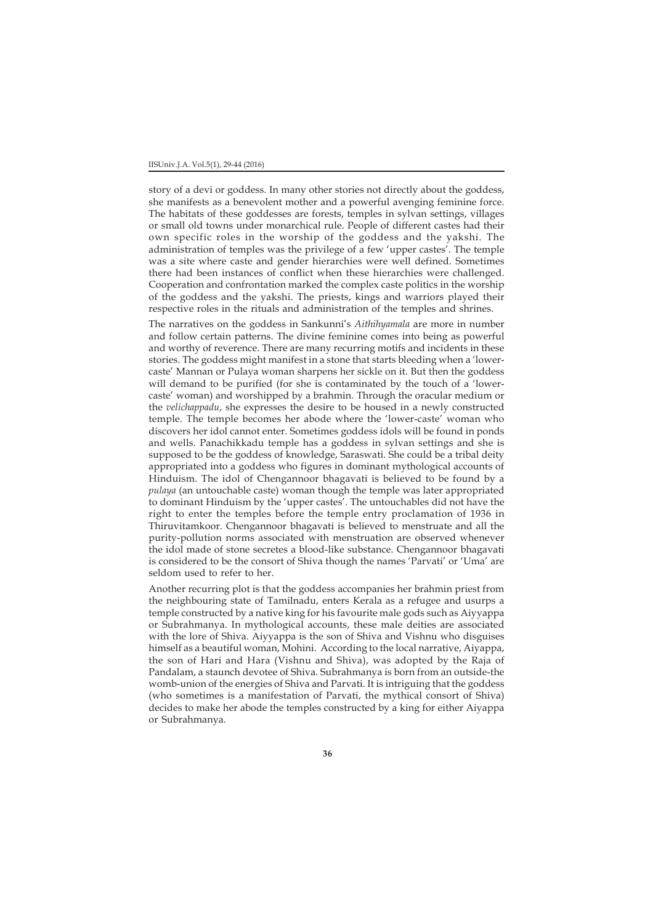#### IISUniv.J.A. Vol.5(1), 29-44 (2016)

story of a devi or goddess. In many other stories not directly about the goddess, she manifests as a benevolent mother and a powerful avenging feminine force. The habitats of these goddesses are forests, temples in sylvan settings, villages or small old towns under monarchical rule. People of different castes had their own specific roles in the worship of the goddess and the yakshi. The administration of temples was the privilege of a few 'upper castes'. The temple was a site where caste and gender hierarchies were well defined. Sometimes there had been instances of conflict when these hierarchies were challenged. Cooperation and confrontation marked the complex caste politics in the worship of the goddess and the yakshi. The priests, kings and warriors played their respective roles in the rituals and administration of the temples and shrines.

The narratives on the goddess in Sankunni's *Aithihyamala* are more in number and follow certain patterns. The divine feminine comes into being as powerful and worthy of reverence. There are many recurring motifs and incidents in these stories. The goddess might manifest in a stone that starts bleeding when a 'lowercaste' Mannan or Pulaya woman sharpens her sickle on it. But then the goddess will demand to be purified (for she is contaminated by the touch of a 'lowercaste' woman) and worshipped by a brahmin*.* Through the oracular medium or the *velichappadu*, she expresses the desire to be housed in a newly constructed temple. The temple becomes her abode where the 'lower-caste' woman who discovers her idol cannot enter. Sometimes goddess idols will be found in ponds and wells. Panachikkadu temple has a goddess in sylvan settings and she is supposed to be the goddess of knowledge, Saraswati. She could be a tribal deity appropriated into a goddess who figures in dominant mythological accounts of Hinduism. The idol of Chengannoor bhagavati is believed to be found by a *pulaya* (an untouchable caste) woman though the temple was later appropriated to dominant Hinduism by the 'upper castes'. The untouchables did not have the right to enter the temples before the temple entry proclamation of 1936 in Thiruvitamkoor. Chengannoor bhagavati is believed to menstruate and all the purity-pollution norms associated with menstruation are observed whenever the idol made of stone secretes a blood-like substance. Chengannoor bhagavati is considered to be the consort of Shiva though the names 'Parvati' or 'Uma' are seldom used to refer to her.

Another recurring plot is that the goddess accompanies her brahmin priest from the neighbouring state of Tamilnadu, enters Kerala as a refugee and usurps a temple constructed by a native king for his favourite male gods such as Aiyyappa or Subrahmanya. In mythological accounts, these male deities are associated with the lore of Shiva. Aiyyappa is the son of Shiva and Vishnu who disguises himself as a beautiful woman, Mohini. According to the local narrative, Aiyappa, the son of Hari and Hara (Vishnu and Shiva), was adopted by the Raja of Pandalam, a staunch devotee of Shiva. Subrahmanya is born from an outside-the womb-union of the energies of Shiva and Parvati. It is intriguing that the goddess (who sometimes is a manifestation of Parvati, the mythical consort of Shiva) decides to make her abode the temples constructed by a king for either Aiyappa or Subrahmanya.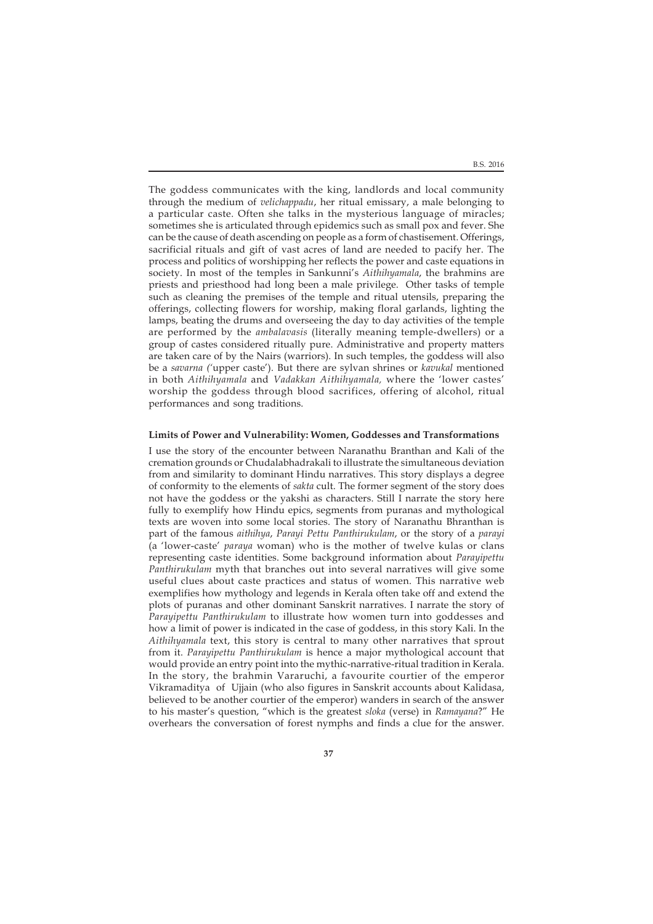The goddess communicates with the king, landlords and local community through the medium of *velichappadu*, her ritual emissary, a male belonging to a particular caste. Often she talks in the mysterious language of miracles; sometimes she is articulated through epidemics such as small pox and fever. She can be the cause of death ascending on people as a form of chastisement. Offerings, sacrificial rituals and gift of vast acres of land are needed to pacify her. The process and politics of worshipping her reflects the power and caste equations in society. In most of the temples in Sankunni's *Aithihyamala*, the brahmins are priests and priesthood had long been a male privilege. Other tasks of temple such as cleaning the premises of the temple and ritual utensils, preparing the offerings, collecting flowers for worship, making floral garlands, lighting the lamps, beating the drums and overseeing the day to day activities of the temple are performed by the *ambalavasis* (literally meaning temple-dwellers) or a group of castes considered ritually pure. Administrative and property matters are taken care of by the Nairs (warriors). In such temples, the goddess will also be a *savarna ('*upper caste'). But there are sylvan shrines or *kavukal* mentioned in both *Aithihyamala* and *Vadakkan Aithihyamala,* where the 'lower castes' worship the goddess through blood sacrifices, offering of alcohol, ritual performances and song traditions.

### **Limits of Power and Vulnerability: Women, Goddesses and Transformations**

I use the story of the encounter between Naranathu Branthan and Kali of the cremation grounds or Chudalabhadrakali to illustrate the simultaneous deviation from and similarity to dominant Hindu narratives. This story displays a degree of conformity to the elements of *sakta* cult. The former segment of the story does not have the goddess or the yakshi as characters. Still I narrate the story here fully to exemplify how Hindu epics, segments from puranas and mythological texts are woven into some local stories. The story of Naranathu Bhranthan is part of the famous *aithihya*, *Parayi Pettu Panthirukulam*, or the story of a *parayi* (a 'lower-caste' *paraya* woman) who is the mother of twelve kulas or clans representing caste identities. Some background information about *Parayipettu Panthirukulam* myth that branches out into several narratives will give some useful clues about caste practices and status of women. This narrative web exemplifies how mythology and legends in Kerala often take off and extend the plots of puranas and other dominant Sanskrit narratives. I narrate the story of *Parayipettu Panthirukulam* to illustrate how women turn into goddesses and how a limit of power is indicated in the case of goddess, in this story Kali. In the *Aithihyamala* text, this story is central to many other narratives that sprout from it. *Parayipettu Panthirukulam* is hence a major mythological account that would provide an entry point into the mythic-narrative-ritual tradition in Kerala. In the story, the brahmin Vararuchi, a favourite courtier of the emperor Vikramaditya of Ujjain (who also figures in Sanskrit accounts about Kalidasa, believed to be another courtier of the emperor) wanders in search of the answer to his master's question, "which is the greatest *sloka* (verse) in *Ramayana*?" He overhears the conversation of forest nymphs and finds a clue for the answer.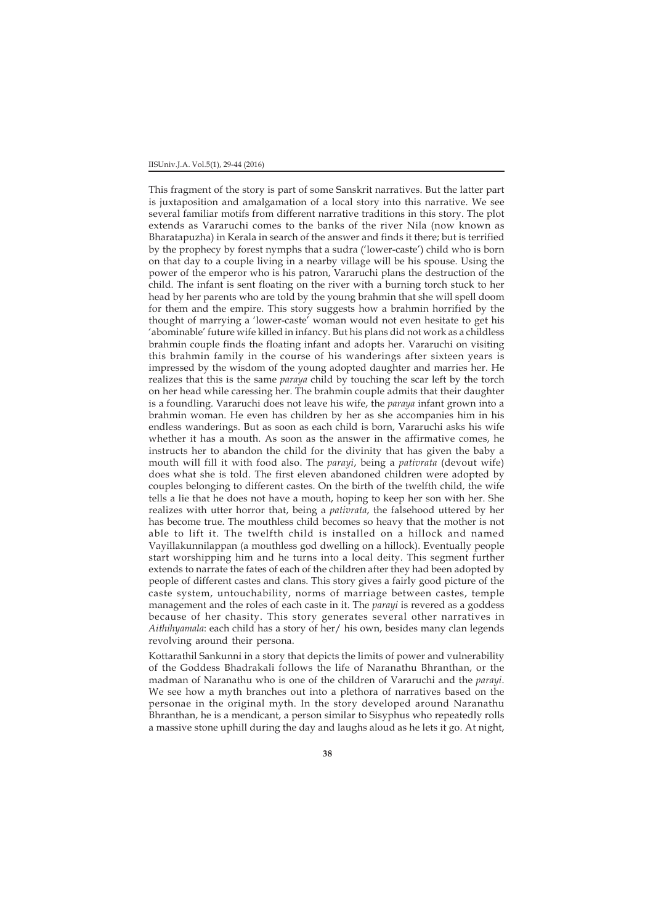#### IISUniv.J.A. Vol.5(1), 29-44 (2016)

This fragment of the story is part of some Sanskrit narratives. But the latter part is juxtaposition and amalgamation of a local story into this narrative. We see several familiar motifs from different narrative traditions in this story. The plot extends as Vararuchi comes to the banks of the river Nila (now known as Bharatapuzha) in Kerala in search of the answer and finds it there; but is terrified by the prophecy by forest nymphs that a sudra ('lower-caste') child who is born on that day to a couple living in a nearby village will be his spouse. Using the power of the emperor who is his patron, Vararuchi plans the destruction of the child. The infant is sent floating on the river with a burning torch stuck to her head by her parents who are told by the young brahmin that she will spell doom for them and the empire. This story suggests how a brahmin horrified by the thought of marrying a 'lower-caste' woman would not even hesitate to get his 'abominable' future wife killed in infancy. But his plans did not work as a childless brahmin couple finds the floating infant and adopts her. Vararuchi on visiting this brahmin family in the course of his wanderings after sixteen years is impressed by the wisdom of the young adopted daughter and marries her. He realizes that this is the same *paraya* child by touching the scar left by the torch on her head while caressing her. The brahmin couple admits that their daughter is a foundling. Vararuchi does not leave his wife, the *paraya* infant grown into a brahmin woman. He even has children by her as she accompanies him in his endless wanderings. But as soon as each child is born, Vararuchi asks his wife whether it has a mouth. As soon as the answer in the affirmative comes, he instructs her to abandon the child for the divinity that has given the baby a mouth will fill it with food also. The *parayi*, being a *pativrata* (devout wife) does what she is told. The first eleven abandoned children were adopted by couples belonging to different castes. On the birth of the twelfth child, the wife tells a lie that he does not have a mouth, hoping to keep her son with her. She realizes with utter horror that, being a *pativrata*, the falsehood uttered by her has become true. The mouthless child becomes so heavy that the mother is not able to lift it. The twelfth child is installed on a hillock and named Vayillakunnilappan (a mouthless god dwelling on a hillock). Eventually people start worshipping him and he turns into a local deity. This segment further extends to narrate the fates of each of the children after they had been adopted by people of different castes and clans. This story gives a fairly good picture of the caste system, untouchability, norms of marriage between castes, temple management and the roles of each caste in it. The *parayi* is revered as a goddess because of her chasity. This story generates several other narratives in *Aithihyamala*: each child has a story of her/ his own, besides many clan legends revolving around their persona.

Kottarathil Sankunni in a story that depicts the limits of power and vulnerability of the Goddess Bhadrakali follows the life of Naranathu Bhranthan, or the madman of Naranathu who is one of the children of Vararuchi and the *parayi*. We see how a myth branches out into a plethora of narratives based on the personae in the original myth. In the story developed around Naranathu Bhranthan, he is a mendicant, a person similar to Sisyphus who repeatedly rolls a massive stone uphill during the day and laughs aloud as he lets it go. At night,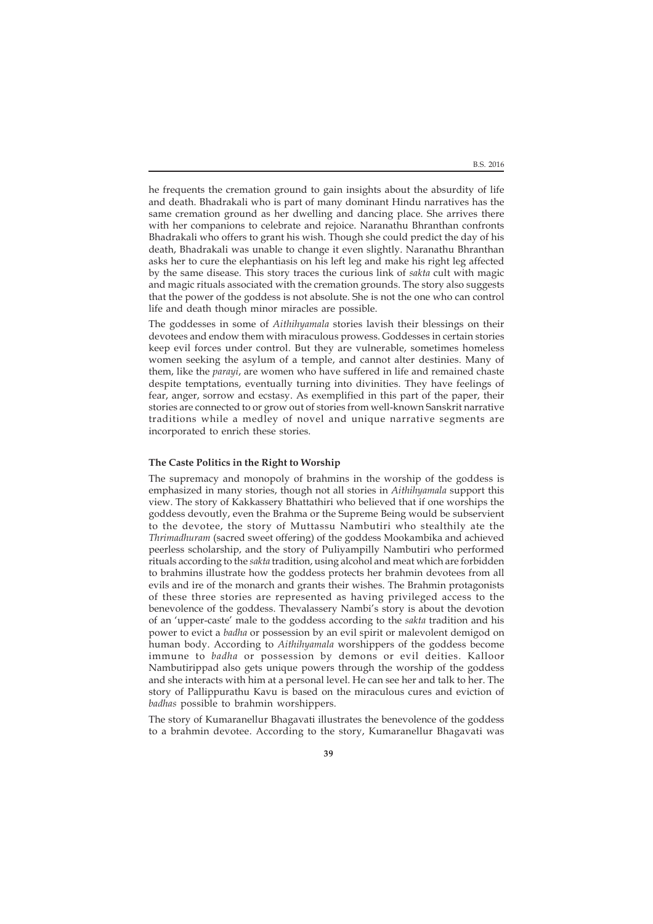he frequents the cremation ground to gain insights about the absurdity of life and death. Bhadrakali who is part of many dominant Hindu narratives has the same cremation ground as her dwelling and dancing place. She arrives there with her companions to celebrate and rejoice. Naranathu Bhranthan confronts Bhadrakali who offers to grant his wish. Though she could predict the day of his death, Bhadrakali was unable to change it even slightly. Naranathu Bhranthan asks her to cure the elephantiasis on his left leg and make his right leg affected by the same disease. This story traces the curious link of *sakta* cult with magic and magic rituals associated with the cremation grounds. The story also suggests that the power of the goddess is not absolute. She is not the one who can control life and death though minor miracles are possible.

The goddesses in some of *Aithihyamala* stories lavish their blessings on their devotees and endow them with miraculous prowess. Goddesses in certain stories keep evil forces under control. But they are vulnerable, sometimes homeless women seeking the asylum of a temple, and cannot alter destinies. Many of them, like the *parayi*, are women who have suffered in life and remained chaste despite temptations, eventually turning into divinities. They have feelings of fear, anger, sorrow and ecstasy. As exemplified in this part of the paper, their stories are connected to or grow out of stories from well-known Sanskrit narrative traditions while a medley of novel and unique narrative segments are incorporated to enrich these stories.

# **The Caste Politics in the Right to Worship**

The supremacy and monopoly of brahmins in the worship of the goddess is emphasized in many stories, though not all stories in *Aithihyamala* support this view. The story of Kakkassery Bhattathiri who believed that if one worships the goddess devoutly, even the Brahma or the Supreme Being would be subservient to the devotee, the story of Muttassu Nambutiri who stealthily ate the *Thrimadhuram* (sacred sweet offering) of the goddess Mookambika and achieved peerless scholarship, and the story of Puliyampilly Nambutiri who performed rituals according to the *sakta* tradition, using alcohol and meat which are forbidden to brahmins illustrate how the goddess protects her brahmin devotees from all evils and ire of the monarch and grants their wishes. The Brahmin protagonists of these three stories are represented as having privileged access to the benevolence of the goddess. Thevalassery Nambi's story is about the devotion of an 'upper-caste' male to the goddess according to the *sakta* tradition and his power to evict a *badha* or possession by an evil spirit or malevolent demigod on human body. According to *Aithihyamala* worshippers of the goddess become immune to *badha* or possession by demons or evil deities. Kalloor Nambutirippad also gets unique powers through the worship of the goddess and she interacts with him at a personal level. He can see her and talk to her. The story of Pallippurathu Kavu is based on the miraculous cures and eviction of *badhas* possible to brahmin worshippers*.*

The story of Kumaranellur Bhagavati illustrates the benevolence of the goddess to a brahmin devotee. According to the story, Kumaranellur Bhagavati was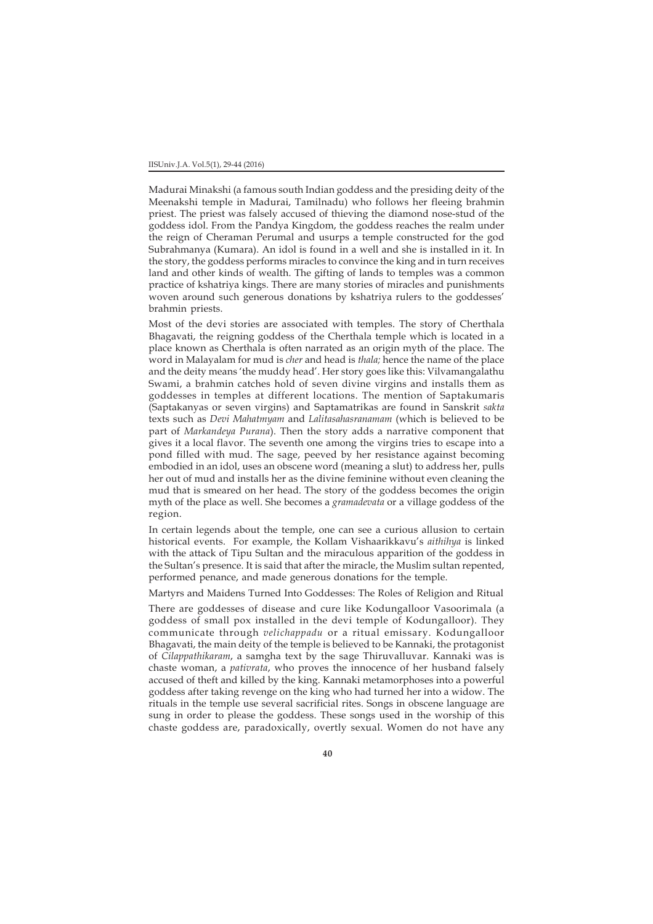#### IISUniv.J.A. Vol.5(1), 29-44 (2016)

Madurai Minakshi (a famous south Indian goddess and the presiding deity of the Meenakshi temple in Madurai, Tamilnadu) who follows her fleeing brahmin priest. The priest was falsely accused of thieving the diamond nose-stud of the goddess idol. From the Pandya Kingdom, the goddess reaches the realm under the reign of Cheraman Perumal and usurps a temple constructed for the god Subrahmanya (Kumara). An idol is found in a well and she is installed in it. In the story, the goddess performs miracles to convince the king and in turn receives land and other kinds of wealth. The gifting of lands to temples was a common practice of kshatriya kings. There are many stories of miracles and punishments woven around such generous donations by kshatriya rulers to the goddesses' brahmin priests.

Most of the devi stories are associated with temples. The story of Cherthala Bhagavati, the reigning goddess of the Cherthala temple which is located in a place known as Cherthala is often narrated as an origin myth of the place. The word in Malayalam for mud is *cher* and head is *thala;* hence the name of the place and the deity means 'the muddy head'. Her story goes like this: Vilvamangalathu Swami, a brahmin catches hold of seven divine virgins and installs them as goddesses in temples at different locations. The mention of Saptakumaris (Saptakanyas or seven virgins) and Saptamatrikas are found in Sanskrit *sakta* texts such as *Devi Mahatmyam* and *Lalitasahasranamam* (which is believed to be part of *Markandeya Purana*). Then the story adds a narrative component that gives it a local flavor. The seventh one among the virgins tries to escape into a pond filled with mud. The sage, peeved by her resistance against becoming embodied in an idol, uses an obscene word (meaning a slut) to address her, pulls her out of mud and installs her as the divine feminine without even cleaning the mud that is smeared on her head. The story of the goddess becomes the origin myth of the place as well. She becomes a *gramadevata* or a village goddess of the region.

In certain legends about the temple, one can see a curious allusion to certain historical events. For example, the Kollam Vishaarikkavu's *aithihya* is linked with the attack of Tipu Sultan and the miraculous apparition of the goddess in the Sultan's presence. It is said that after the miracle, the Muslim sultan repented, performed penance, and made generous donations for the temple.

Martyrs and Maidens Turned Into Goddesses: The Roles of Religion and Ritual

There are goddesses of disease and cure like Kodungalloor Vasoorimala (a goddess of small pox installed in the devi temple of Kodungalloor). They communicate through *velichappadu* or a ritual emissary. Kodungalloor Bhagavati, the main deity of the temple is believed to be Kannaki, the protagonist of *Cilappathikaram*, a samgha text by the sage Thiruvalluvar. Kannaki was is chaste woman, a *pativrata*, who proves the innocence of her husband falsely accused of theft and killed by the king. Kannaki metamorphoses into a powerful goddess after taking revenge on the king who had turned her into a widow. The rituals in the temple use several sacrificial rites. Songs in obscene language are sung in order to please the goddess. These songs used in the worship of this chaste goddess are, paradoxically, overtly sexual. Women do not have any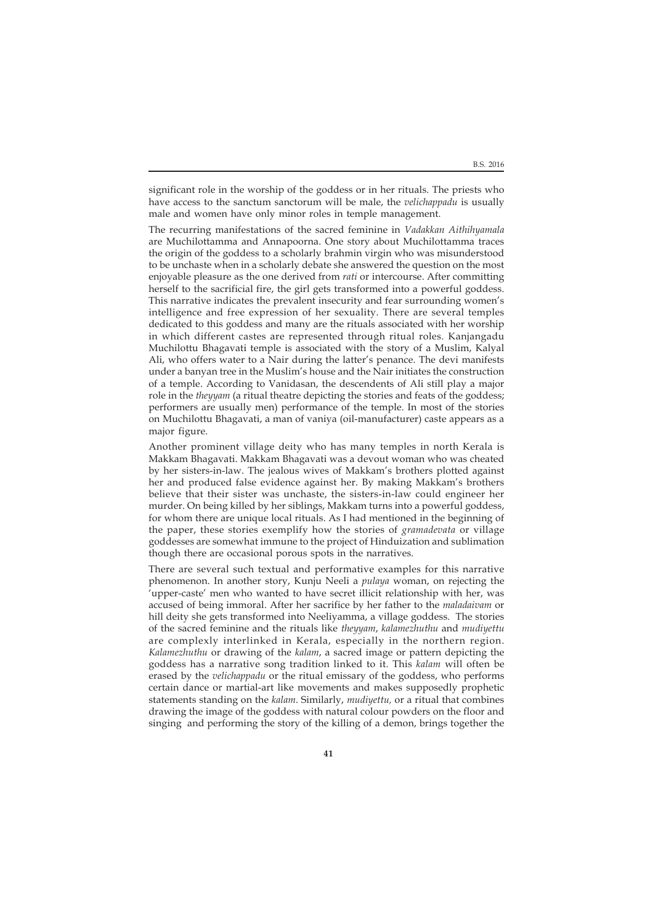B.S. 2016

significant role in the worship of the goddess or in her rituals. The priests who have access to the sanctum sanctorum will be male, the *velichappadu* is usually male and women have only minor roles in temple management.

The recurring manifestations of the sacred feminine in *Vadakkan Aithihyamala* are Muchilottamma and Annapoorna. One story about Muchilottamma traces the origin of the goddess to a scholarly brahmin virgin who was misunderstood to be unchaste when in a scholarly debate she answered the question on the most enjoyable pleasure as the one derived from *rati* or intercourse. After committing herself to the sacrificial fire, the girl gets transformed into a powerful goddess. This narrative indicates the prevalent insecurity and fear surrounding women's intelligence and free expression of her sexuality. There are several temples dedicated to this goddess and many are the rituals associated with her worship in which different castes are represented through ritual roles. Kanjangadu Muchilottu Bhagavati temple is associated with the story of a Muslim, Kalyal Ali, who offers water to a Nair during the latter's penance. The devi manifests under a banyan tree in the Muslim's house and the Nair initiates the construction of a temple. According to Vanidasan, the descendents of Ali still play a major role in the *theyyam* (a ritual theatre depicting the stories and feats of the goddess; performers are usually men) performance of the temple. In most of the stories on Muchilottu Bhagavati, a man of vaniya (oil-manufacturer) caste appears as a major figure.

Another prominent village deity who has many temples in north Kerala is Makkam Bhagavati. Makkam Bhagavati was a devout woman who was cheated by her sisters-in-law. The jealous wives of Makkam's brothers plotted against her and produced false evidence against her. By making Makkam's brothers believe that their sister was unchaste, the sisters-in-law could engineer her murder. On being killed by her siblings, Makkam turns into a powerful goddess, for whom there are unique local rituals. As I had mentioned in the beginning of the paper, these stories exemplify how the stories of *gramadevata* or village goddesses are somewhat immune to the project of Hinduization and sublimation though there are occasional porous spots in the narratives.

There are several such textual and performative examples for this narrative phenomenon. In another story, Kunju Neeli a *pulaya* woman, on rejecting the 'upper-caste' men who wanted to have secret illicit relationship with her, was accused of being immoral. After her sacrifice by her father to the *maladaivam* or hill deity she gets transformed into Neeliyamma, a village goddess. The stories of the sacred feminine and the rituals like *theyyam*, *kalamezhuthu* and *mudiyettu* are complexly interlinked in Kerala, especially in the northern region. *Kalamezhuthu* or drawing of the *kalam*, a sacred image or pattern depicting the goddess has a narrative song tradition linked to it. This *kalam* will often be erased by the *velichappadu* or the ritual emissary of the goddess, who performs certain dance or martial-art like movements and makes supposedly prophetic statements standing on the *kalam*. Similarly, *mudiyettu,* or a ritual that combines drawing the image of the goddess with natural colour powders on the floor and singing and performing the story of the killing of a demon, brings together the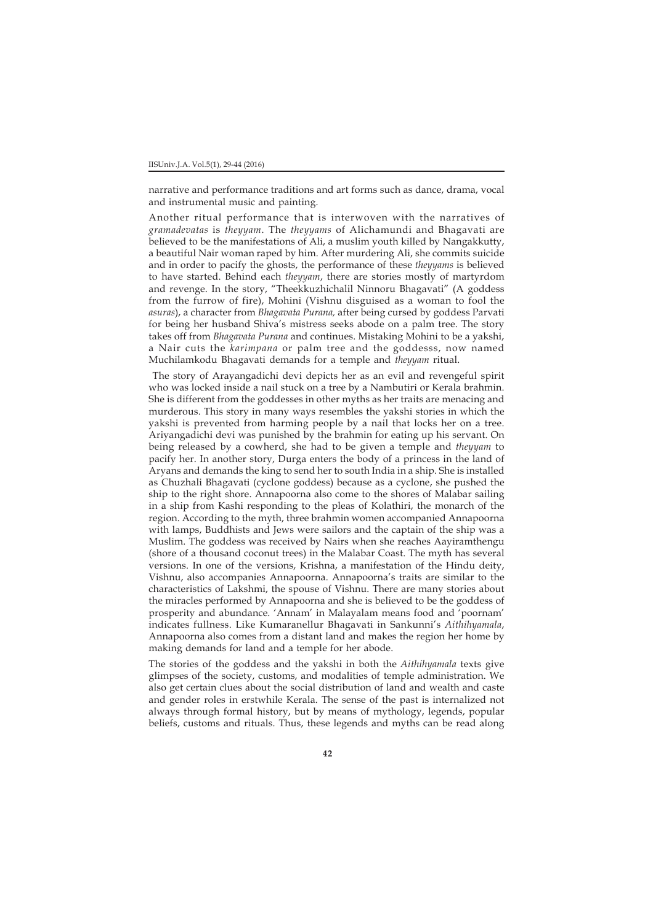narrative and performance traditions and art forms such as dance, drama, vocal and instrumental music and painting.

Another ritual performance that is interwoven with the narratives of *gramadevatas* is *theyyam*. The *theyyams* of Alichamundi and Bhagavati are believed to be the manifestations of Ali, a muslim youth killed by Nangakkutty, a beautiful Nair woman raped by him. After murdering Ali, she commits suicide and in order to pacify the ghosts, the performance of these *theyyams* is believed to have started. Behind each *theyyam*, there are stories mostly of martyrdom and revenge. In the story, "Theekkuzhichalil Ninnoru Bhagavati" (A goddess from the furrow of fire), Mohini (Vishnu disguised as a woman to fool the *asuras*), a character from *Bhagavata Purana,* after being cursed by goddess Parvati for being her husband Shiva's mistress seeks abode on a palm tree. The story takes off from *Bhagavata Purana* and continues. Mistaking Mohini to be a yakshi, a Nair cuts the *karimpana* or palm tree and the goddesss, now named Muchilamkodu Bhagavati demands for a temple and *theyyam* ritual.

 The story of Arayangadichi devi depicts her as an evil and revengeful spirit who was locked inside a nail stuck on a tree by a Nambutiri or Kerala brahmin. She is different from the goddesses in other myths as her traits are menacing and murderous. This story in many ways resembles the yakshi stories in which the yakshi is prevented from harming people by a nail that locks her on a tree. Ariyangadichi devi was punished by the brahmin for eating up his servant. On being released by a cowherd, she had to be given a temple and *theyyam* to pacify her. In another story, Durga enters the body of a princess in the land of Aryans and demands the king to send her to south India in a ship. She is installed as Chuzhali Bhagavati (cyclone goddess) because as a cyclone, she pushed the ship to the right shore. Annapoorna also come to the shores of Malabar sailing in a ship from Kashi responding to the pleas of Kolathiri, the monarch of the region. According to the myth, three brahmin women accompanied Annapoorna with lamps, Buddhists and Jews were sailors and the captain of the ship was a Muslim. The goddess was received by Nairs when she reaches Aayiramthengu (shore of a thousand coconut trees) in the Malabar Coast. The myth has several versions. In one of the versions, Krishna, a manifestation of the Hindu deity, Vishnu, also accompanies Annapoorna. Annapoorna's traits are similar to the characteristics of Lakshmi, the spouse of Vishnu. There are many stories about the miracles performed by Annapoorna and she is believed to be the goddess of prosperity and abundance. 'Annam' in Malayalam means food and 'poornam' indicates fullness. Like Kumaranellur Bhagavati in Sankunni's *Aithihyamala*, Annapoorna also comes from a distant land and makes the region her home by making demands for land and a temple for her abode.

The stories of the goddess and the yakshi in both the *Aithihyamala* texts give glimpses of the society, customs, and modalities of temple administration. We also get certain clues about the social distribution of land and wealth and caste and gender roles in erstwhile Kerala. The sense of the past is internalized not always through formal history, but by means of mythology, legends, popular beliefs, customs and rituals. Thus, these legends and myths can be read along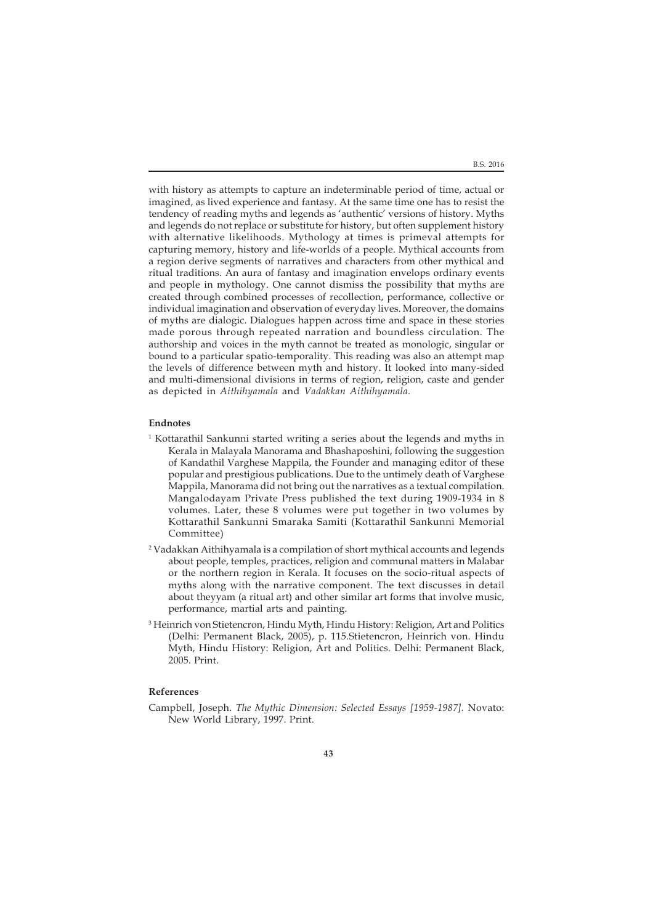with history as attempts to capture an indeterminable period of time, actual or imagined, as lived experience and fantasy. At the same time one has to resist the tendency of reading myths and legends as 'authentic' versions of history. Myths and legends do not replace or substitute for history, but often supplement history with alternative likelihoods. Mythology at times is primeval attempts for capturing memory, history and life-worlds of a people. Mythical accounts from a region derive segments of narratives and characters from other mythical and ritual traditions. An aura of fantasy and imagination envelops ordinary events and people in mythology. One cannot dismiss the possibility that myths are created through combined processes of recollection, performance, collective or individual imagination and observation of everyday lives. Moreover, the domains of myths are dialogic. Dialogues happen across time and space in these stories made porous through repeated narration and boundless circulation. The authorship and voices in the myth cannot be treated as monologic, singular or bound to a particular spatio-temporality. This reading was also an attempt map the levels of difference between myth and history. It looked into many-sided and multi-dimensional divisions in terms of region, religion, caste and gender as depicted in *Aithihyamala* and *Vadakkan Aithihyamala*.

# **Endnotes**

- 1 Kottarathil Sankunni started writing a series about the legends and myths in Kerala in Malayala Manorama and Bhashaposhini, following the suggestion of Kandathil Varghese Mappila, the Founder and managing editor of these popular and prestigious publications. Due to the untimely death of Varghese Mappila, Manorama did not bring out the narratives as a textual compilation. Mangalodayam Private Press published the text during 1909-1934 in 8 volumes. Later, these 8 volumes were put together in two volumes by Kottarathil Sankunni Smaraka Samiti (Kottarathil Sankunni Memorial Committee)
- 2 Vadakkan Aithihyamala is a compilation of short mythical accounts and legends about people, temples, practices, religion and communal matters in Malabar or the northern region in Kerala. It focuses on the socio-ritual aspects of myths along with the narrative component. The text discusses in detail about theyyam (a ritual art) and other similar art forms that involve music, performance, martial arts and painting.
- 3 Heinrich von Stietencron, Hindu Myth, Hindu History: Religion, Art and Politics (Delhi: Permanent Black, 2005), p. 115.Stietencron, Heinrich von. Hindu Myth, Hindu History: Religion, Art and Politics. Delhi: Permanent Black, 2005. Print.

# **References**

Campbell, Joseph. *The Mythic Dimension: Selected Essays [1959-1987].* Novato: New World Library, 1997. Print.